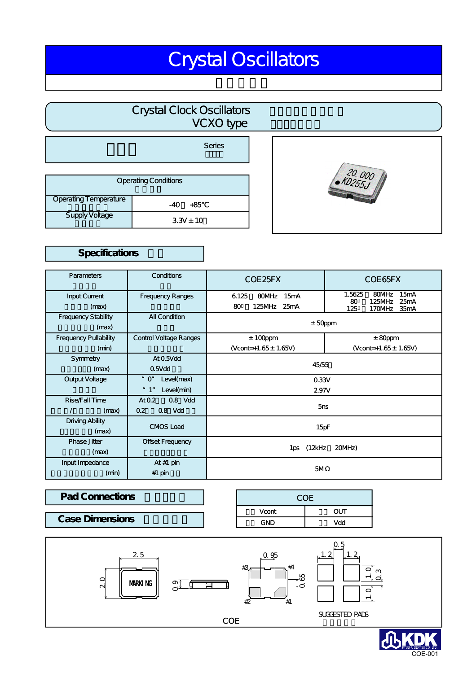# Crystal Oscillators

# Crystal Clock Oscillators クロ オンファイル VCXO type  $\sqrt{2}$

|                             | Series        |
|-----------------------------|---------------|
|                             |               |
| <b>Operating Conditions</b> |               |
| Operating Temperature       | +85<br>$-40$  |
| <b>Supply Voltage</b>       | $3.3V \pm 10$ |

# $20.000$

# Specifications

| <b>Parameters</b>            | Conditions              | COE 25FX                  | COE65FX                                         |
|------------------------------|-------------------------|---------------------------|-------------------------------------------------|
| <b>Input Current</b>         | <b>Frequency Ranges</b> | 6.125<br>80MHz<br>15mA    | 1.5625<br>80MHz<br>15mA<br>80<br>125MHz<br>25mA |
| (max)                        |                         | 125MHz<br>80<br>25mA      | 35mA<br>125<br>170MHz                           |
| <b>Frequency Stability</b>   | <b>All Condition</b>    | $±$ 50ppm                 |                                                 |
| (max)                        |                         |                           |                                                 |
| <b>Frequency Pullability</b> | Control Voltage Ranges  | $± 100$ ppm               | $± 80$ ppm                                      |
| (min)                        |                         | $(Vcont=+1.65 \pm 1.65V)$ | (Vcont=+1.65 $\pm$ 1.65V)                       |
| Symmetry                     | At 0.5Vdd               |                           |                                                 |
| (max)                        | $0.5V$ dd               | 45/55                     |                                                 |
| Output Voltage               | Level(max)<br>" ር"      | 0.33V                     |                                                 |
|                              | Level(min)<br>" 1"      | 2.97V                     |                                                 |
| Rise Fall Time               | $0.8$ Vdd<br>AtO.2      | 5ns                       |                                                 |
| (max)<br>$\prime$            | 0.8 Vdd<br>0.2          |                           |                                                 |
| Driving Ability              | <b>CMOS Load</b>        | 15pF                      |                                                 |
| (max)                        |                         |                           |                                                 |
| Phase Jitter                 | Offset Frequency        |                           |                                                 |
| (max)                        |                         | 1ps (12kHz<br>$20MHz$ )   |                                                 |
| Input Impedance              | At $#1$ pin             |                           |                                                 |
| (min)                        | $#1$ pin                | 5M                        |                                                 |

### Vcont  $GND$  $\overline{OUT}$ Vdd Pad Connections **Pad Connections Pad Connections Pad Connections Case Dimensions**